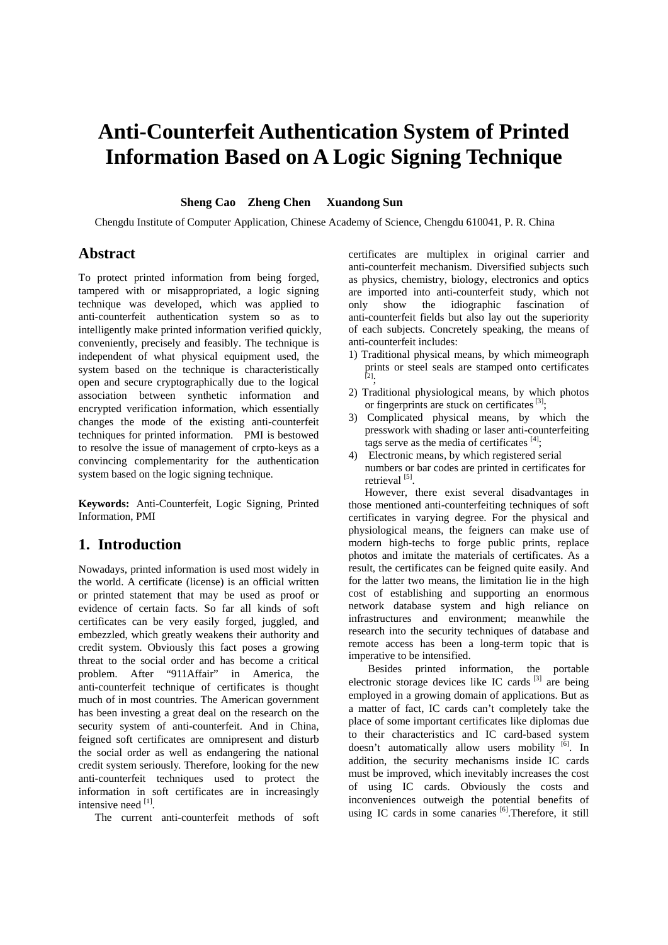# **Anti-Counterfeit Authentication System of Printed Information Based on A Logic Signing Technique**

#### **Sheng Cao Zheng Chen Xuandong Sun**

Chengdu Institute of Computer Application, Chinese Academy of Science, Chengdu 610041, P. R. China

#### **Abstract**

To protect printed information from being forged, tampered with or misappropriated, a logic signing technique was developed, which was applied to anti-counterfeit authentication system so as to intelligently make printed information verified quickly, conveniently, precisely and feasibly. The technique is independent of what physical equipment used, the system based on the technique is characteristically open and secure cryptographically due to the logical association between synthetic information and encrypted verification information, which essentially changes the mode of the existing anti-counterfeit techniques for printed information. PMI is bestowed to resolve the issue of management of crpto-keys as a convincing complementarity for the authentication system based on the logic signing technique.

**Keywords:** Anti-Counterfeit, Logic Signing, Printed Information, PMI

#### **1. Introduction**

Nowadays, printed information is used most widely in the world. A certificate (license) is an official written or printed statement that may be used as proof or evidence of certain facts. So far all kinds of soft certificates can be very easily forged, juggled, and embezzled, which greatly weakens their authority and credit system. Obviously this fact poses a growing threat to the social order and has become a critical problem. After "911Affair" in America, the anti-counterfeit technique of certificates is thought much of in most countries. The American government has been investing a great deal on the research on the security system of anti-counterfeit. And in China, feigned soft certificates are omnipresent and disturb the social order as well as endangering the national credit system seriously. Therefore, looking for the new anti-counterfeit techniques used to protect the information in soft certificates are in increasingly intensive need [1].

The current anti-counterfeit methods of soft

certificates are multiplex in original carrier and anti-counterfeit mechanism. Diversified subjects such as physics, chemistry, biology, electronics and optics are imported into anti-counterfeit study, which not only show the idiographic fascination of anti-counterfeit fields but also lay out the superiority of each subjects. Concretely speaking, the means of anti-counterfeit includes:

- 1) Traditional physical means, by which mimeograph prints or steel seals are stamped onto certificates [2];
- 2) Traditional physiological means, by which photos or fingerprints are stuck on certificates [3];
- 3) Complicated physical means, by which the presswork with shading or laser anti-counterfeiting tags serve as the media of certificates  $[4]$ ;
- 4) Electronic means, by which registered serial numbers or bar codes are printed in certificates for retrieval<sup>[5]</sup>.

However, there exist several disadvantages in those mentioned anti-counterfeiting techniques of soft certificates in varying degree. For the physical and physiological means, the feigners can make use of modern high-techs to forge public prints, replace photos and imitate the materials of certificates. As a result, the certificates can be feigned quite easily. And for the latter two means, the limitation lie in the high cost of establishing and supporting an enormous network database system and high reliance on infrastructures and environment; meanwhile the research into the security techniques of database and remote access has been a long-term topic that is imperative to be intensified.

Besides printed information, the portable electronic storage devices like IC cards  $^{[3]}$  are being employed in a growing domain of applications. But as a matter of fact, IC cards can't completely take the place of some important certificates like diplomas due to their characteristics and IC card-based system doesn't automatically allow users mobility [6]. In addition, the security mechanisms inside IC cards must be improved, which inevitably increases the cost of using IC cards. Obviously the costs and inconveniences outweigh the potential benefits of using IC cards in some canaries [6]. Therefore, it still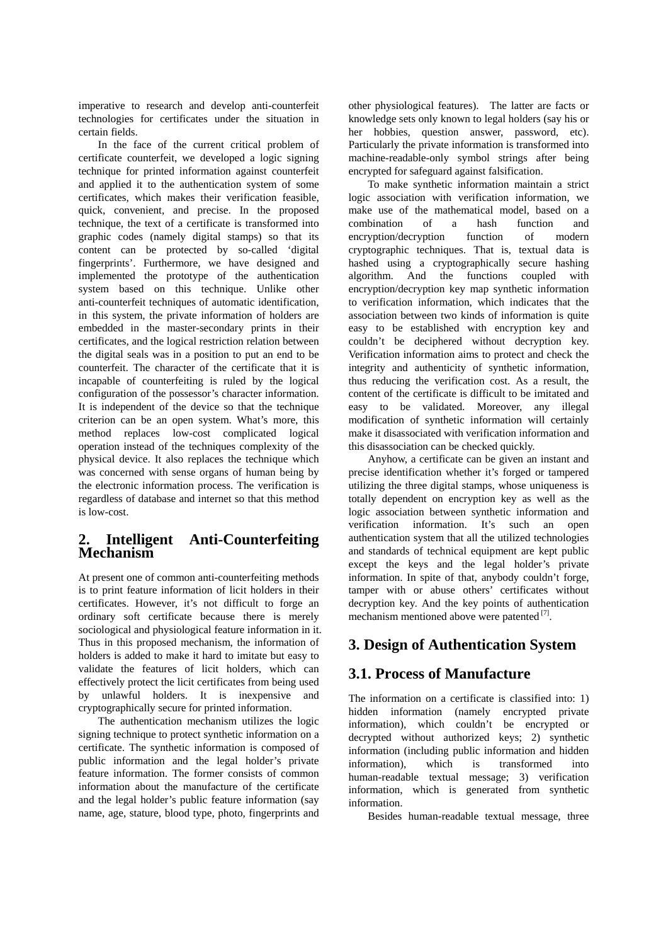imperative to research and develop anti-counterfeit technologies for certificates under the situation in certain fields.

In the face of the current critical problem of certificate counterfeit, we developed a logic signing technique for printed information against counterfeit and applied it to the authentication system of some certificates, which makes their verification feasible, quick, convenient, and precise. In the proposed technique, the text of a certificate is transformed into graphic codes (namely digital stamps) so that its content can be protected by so-called 'digital fingerprints'. Furthermore, we have designed and implemented the prototype of the authentication system based on this technique. Unlike other anti-counterfeit techniques of automatic identification, in this system, the private information of holders are embedded in the master-secondary prints in their certificates, and the logical restriction relation between the digital seals was in a position to put an end to be counterfeit. The character of the certificate that it is incapable of counterfeiting is ruled by the logical configuration of the possessor's character information. It is independent of the device so that the technique criterion can be an open system. What's more, this method replaces low-cost complicated logical operation instead of the techniques complexity of the physical device. It also replaces the technique which was concerned with sense organs of human being by the electronic information process. The verification is regardless of database and internet so that this method is low-cost.

# **2. Intelligent Anti-Counterfeiting Mechanism**

At present one of common anti-counterfeiting methods is to print feature information of licit holders in their certificates. However, it's not difficult to forge an ordinary soft certificate because there is merely sociological and physiological feature information in it. Thus in this proposed mechanism, the information of holders is added to make it hard to imitate but easy to validate the features of licit holders, which can effectively protect the licit certificates from being used by unlawful holders. It is inexpensive and cryptographically secure for printed information.

The authentication mechanism utilizes the logic signing technique to protect synthetic information on a certificate. The synthetic information is composed of public information and the legal holder's private feature information. The former consists of common information about the manufacture of the certificate and the legal holder's public feature information (say name, age, stature, blood type, photo, fingerprints and

other physiological features). The latter are facts or knowledge sets only known to legal holders (say his or her hobbies, question answer, password, etc). Particularly the private information is transformed into machine-readable-only symbol strings after being encrypted for safeguard against falsification.

To make synthetic information maintain a strict logic association with verification information, we make use of the mathematical model, based on a combination of a hash function and encryption/decryption function of modern cryptographic techniques. That is, textual data is hashed using a cryptographically secure hashing algorithm. And the functions coupled with encryption/decryption key map synthetic information to verification information, which indicates that the association between two kinds of information is quite easy to be established with encryption key and couldn't be deciphered without decryption key. Verification information aims to protect and check the integrity and authenticity of synthetic information, thus reducing the verification cost. As a result, the content of the certificate is difficult to be imitated and easy to be validated. Moreover, any illegal modification of synthetic information will certainly make it disassociated with verification information and this disassociation can be checked quickly.

Anyhow, a certificate can be given an instant and precise identification whether it's forged or tampered utilizing the three digital stamps, whose uniqueness is totally dependent on encryption key as well as the logic association between synthetic information and verification information. It's such an open authentication system that all the utilized technologies and standards of technical equipment are kept public except the keys and the legal holder's private information. In spite of that, anybody couldn't forge, tamper with or abuse others' certificates without decryption key. And the key points of authentication mechanism mentioned above were patented [7].

# **3. Design of Authentication System**

# **3.1. Process of Manufacture**

The information on a certificate is classified into: 1) hidden information (namely encrypted private information), which couldn't be encrypted or decrypted without authorized keys; 2) synthetic information (including public information and hidden information), which is transformed into human-readable textual message; 3) verification information, which is generated from synthetic information.

Besides human-readable textual message, three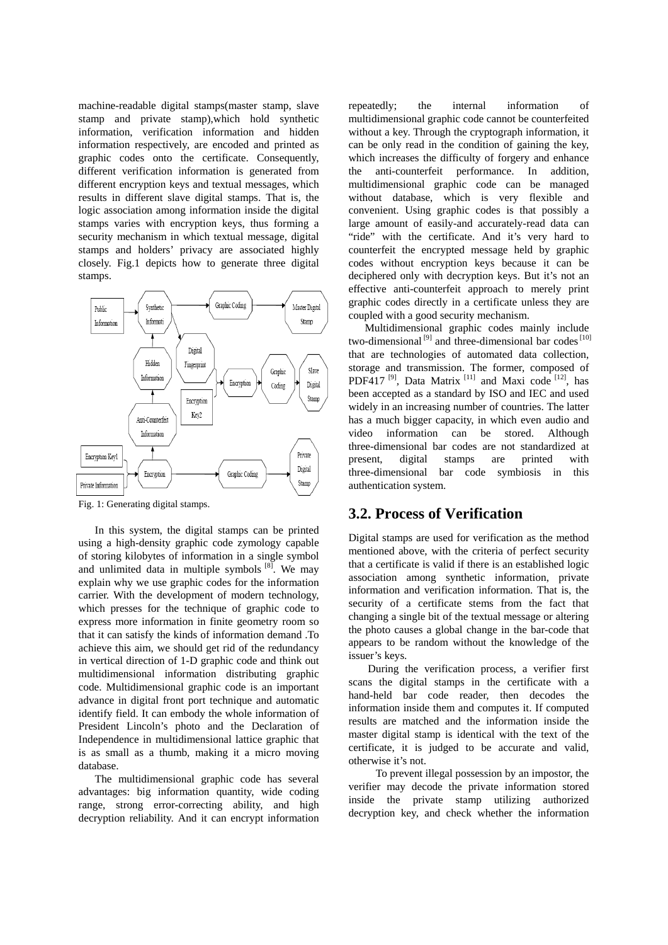machine-readable digital stamps(master stamp, slave stamp and private stamp),which hold synthetic information, verification information and hidden information respectively, are encoded and printed as graphic codes onto the certificate. Consequently, different verification information is generated from different encryption keys and textual messages, which results in different slave digital stamps. That is, the logic association among information inside the digital stamps varies with encryption keys, thus forming a security mechanism in which textual message, digital stamps and holders' privacy are associated highly closely. Fig.1 depicts how to generate three digital stamps.



Fig. 1: Generating digital stamps.

In this system, the digital stamps can be printed using a high-density graphic code zymology capable of storing kilobytes of information in a single symbol and unlimited data in multiple symbols  $[8]$ . We may explain why we use graphic codes for the information carrier. With the development of modern technology, which presses for the technique of graphic code to express more information in finite geometry room so that it can satisfy the kinds of information demand .To achieve this aim, we should get rid of the redundancy in vertical direction of 1-D graphic code and think out multidimensional information distributing graphic code. Multidimensional graphic code is an important advance in digital front port technique and automatic identify field. It can embody the whole information of President Lincoln's photo and the Declaration of Independence in multidimensional lattice graphic that is as small as a thumb, making it a micro moving database.

The multidimensional graphic code has several advantages: big information quantity, wide coding range, strong error-correcting ability, and high decryption reliability. And it can encrypt information repeatedly; the internal information of multidimensional graphic code cannot be counterfeited without a key. Through the cryptograph information, it can be only read in the condition of gaining the key, which increases the difficulty of forgery and enhance the anti-counterfeit performance. In addition, multidimensional graphic code can be managed without database, which is very flexible and convenient. Using graphic codes is that possibly a large amount of easily-and accurately-read data can "ride" with the certificate. And it's very hard to counterfeit the encrypted message held by graphic codes without encryption keys because it can be deciphered only with decryption keys. But it's not an effective anti-counterfeit approach to merely print graphic codes directly in a certificate unless they are coupled with a good security mechanism.

Multidimensional graphic codes mainly include two-dimensional<sup>[9]</sup> and three-dimensional bar codes<sup>[10]</sup> that are technologies of automated data collection, storage and transmission. The former, composed of PDF417<sup>[9]</sup>, Data Matrix<sup>[11]</sup> and Maxi code<sup>[12]</sup>, has been accepted as a standard by ISO and IEC and used widely in an increasing number of countries. The latter has a much bigger capacity, in which even audio and video information can be stored. Although three-dimensional bar codes are not standardized at present, digital stamps are printed with three-dimensional bar code symbiosis in this authentication system.

# **3.2. Process of Verification**

Digital stamps are used for verification as the method mentioned above, with the criteria of perfect security that a certificate is valid if there is an established logic association among synthetic information, private information and verification information. That is, the security of a certificate stems from the fact that changing a single bit of the textual message or altering the photo causes a global change in the bar-code that appears to be random without the knowledge of the issuer's keys.

During the verification process, a verifier first scans the digital stamps in the certificate with a hand-held bar code reader, then decodes the information inside them and computes it. If computed results are matched and the information inside the master digital stamp is identical with the text of the certificate, it is judged to be accurate and valid, otherwise it's not.

 To prevent illegal possession by an impostor, the verifier may decode the private information stored inside the private stamp utilizing authorized decryption key, and check whether the information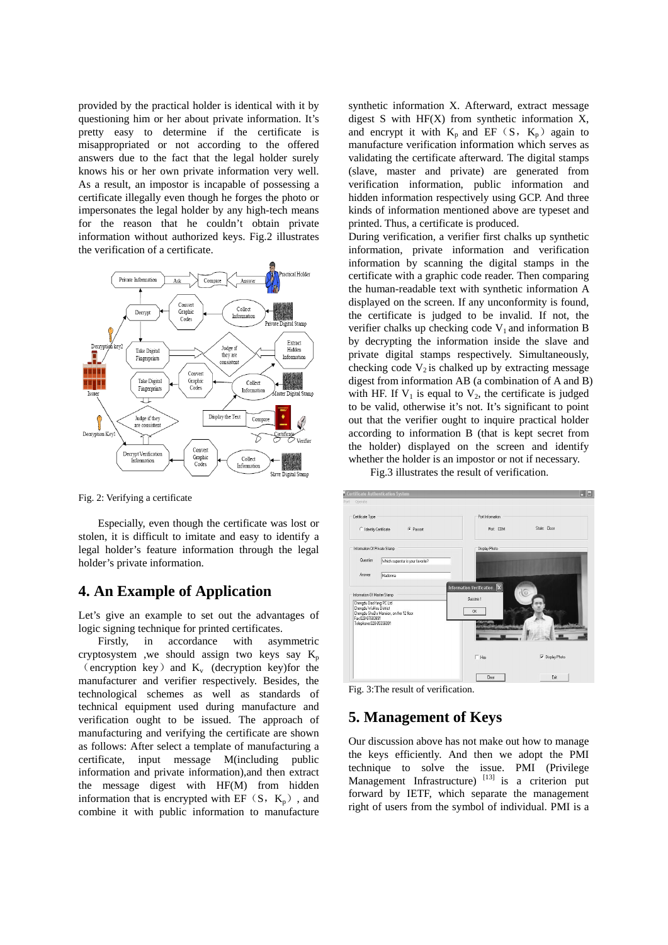provided by the practical holder is identical with it by questioning him or her about private information. It's pretty easy to determine if the certificate is misappropriated or not according to the offered answers due to the fact that the legal holder surely knows his or her own private information very well. As a result, an impostor is incapable of possessing a certificate illegally even though he forges the photo or impersonates the legal holder by any high-tech means for the reason that he couldn't obtain private information without authorized keys. Fig.2 illustrates the verification of a certificate.



Fig. 2: Verifying a certificate

Especially, even though the certificate was lost or stolen, it is difficult to imitate and easy to identify a legal holder's feature information through the legal holder's private information.

#### **4. An Example of Application**

Let's give an example to set out the advantages of logic signing technique for printed certificates.

Firstly, in accordance with asymmetric cryptosystem ,we should assign two keys say  $K_p$ (encryption key) and  $K_v$  (decryption key) for the manufacturer and verifier respectively. Besides, the technological schemes as well as standards of technical equipment used during manufacture and verification ought to be issued. The approach of manufacturing and verifying the certificate are shown as follows: After select a template of manufacturing a certificate, input message M(including public information and private information),and then extract the message digest with HF(M) from hidden information that is encrypted with EF  $(S, K_p)$ , and combine it with public information to manufacture

synthetic information X. Afterward, extract message digest S with  $HF(X)$  from synthetic information X, and encrypt it with  $K_p$  and EF (S,  $K_p$ ) again to manufacture verification information which serves as validating the certificate afterward. The digital stamps (slave, master and private) are generated from verification information, public information and hidden information respectively using GCP. And three kinds of information mentioned above are typeset and printed. Thus, a certificate is produced.

During verification, a verifier first chalks up synthetic information, private information and verification information by scanning the digital stamps in the certificate with a graphic code reader. Then comparing the human-readable text with synthetic information A displayed on the screen. If any unconformity is found, the certificate is judged to be invalid. If not, the verifier chalks up checking code  $V_1$  and information B by decrypting the information inside the slave and private digital stamps respectively. Simultaneously, checking code  $V_2$  is chalked up by extracting message digest from information AB (a combination of A and B) with HF. If  $V_1$  is equal to  $V_2$ , the certificate is judged to be valid, otherwise it's not. It's significant to point out that the verifier ought to inquire practical holder according to information B (that is kept secret from the holder) displayed on the screen and identify whether the holder is an impostor or not if necessary.

Fig.3 illustrates the result of verification.



Fig. 3:The result of verification.

# **5. Management of Keys**

Our discussion above has not make out how to manage the keys efficiently. And then we adopt the PMI technique to solve the issue. PMI (Privilege Management Infrastructure)  $^{[13]}$  is a criterion put forward by IETF, which separate the management right of users from the symbol of individual. PMI is a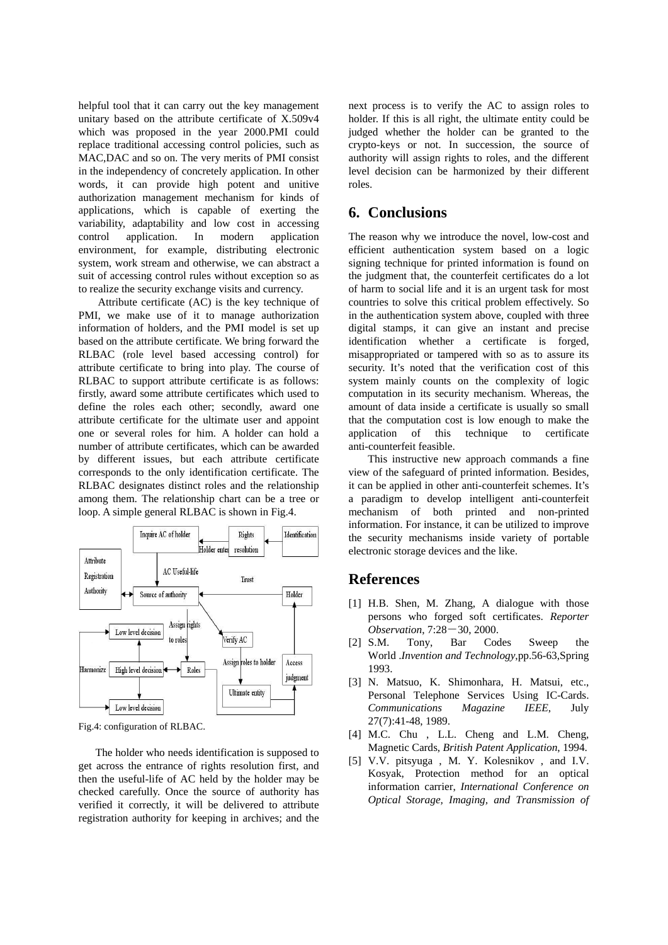helpful tool that it can carry out the key management unitary based on the attribute certificate of X.509v4 which was proposed in the year 2000.PMI could replace traditional accessing control policies, such as MAC,DAC and so on. The very merits of PMI consist in the independency of concretely application. In other words, it can provide high potent and unitive authorization management mechanism for kinds of applications, which is capable of exerting the variability, adaptability and low cost in accessing control application. In modern application environment, for example, distributing electronic system, work stream and otherwise, we can abstract a suit of accessing control rules without exception so as to realize the security exchange visits and currency.

Attribute certificate (AC) is the key technique of PMI, we make use of it to manage authorization information of holders, and the PMI model is set up based on the attribute certificate. We bring forward the RLBAC (role level based accessing control) for attribute certificate to bring into play. The course of RLBAC to support attribute certificate is as follows: firstly, award some attribute certificates which used to define the roles each other; secondly, award one attribute certificate for the ultimate user and appoint one or several roles for him. A holder can hold a number of attribute certificates, which can be awarded by different issues, but each attribute certificate corresponds to the only identification certificate. The RLBAC designates distinct roles and the relationship among them. The relationship chart can be a tree or loop. A simple general RLBAC is shown in Fig.4.



Fig.4: configuration of RLBAC.

 The holder who needs identification is supposed to get across the entrance of rights resolution first, and then the useful-life of AC held by the holder may be checked carefully. Once the source of authority has verified it correctly, it will be delivered to attribute registration authority for keeping in archives; and the next process is to verify the AC to assign roles to holder. If this is all right, the ultimate entity could be judged whether the holder can be granted to the crypto-keys or not. In succession, the source of authority will assign rights to roles, and the different level decision can be harmonized by their different roles.

## **6. Conclusions**

The reason why we introduce the novel, low-cost and efficient authentication system based on a logic signing technique for printed information is found on the judgment that, the counterfeit certificates do a lot of harm to social life and it is an urgent task for most countries to solve this critical problem effectively. So in the authentication system above, coupled with three digital stamps, it can give an instant and precise identification whether a certificate is forged, misappropriated or tampered with so as to assure its security. It's noted that the verification cost of this system mainly counts on the complexity of logic computation in its security mechanism. Whereas, the amount of data inside a certificate is usually so small that the computation cost is low enough to make the application of this technique to certificate anti-counterfeit feasible.

This instructive new approach commands a fine view of the safeguard of printed information. Besides, it can be applied in other anti-counterfeit schemes. It's a paradigm to develop intelligent anti-counterfeit mechanism of both printed and non-printed information. For instance, it can be utilized to improve the security mechanisms inside variety of portable electronic storage devices and the like.

#### **References**

- [1] H.B. Shen, M. Zhang, A dialogue with those persons who forged soft certificates. *Reporter Observation*, 7:28-30, 2000.
- [2] S.M. Tony, Bar Codes Sweep the World .*Invention and Technology*,pp.56-63,Spring 1993.
- [3] N. Matsuo, K. Shimonhara, H. Matsui, etc., Personal Telephone Services Using IC-Cards. *Communications Magazine IEEE*, July 27(7):41-48, 1989.
- [4] M.C. Chu, L.L. Cheng and L.M. Cheng, Magnetic Cards, *British Patent Application*, 1994.
- [5] V.V. pitsyuga , M. Y. Kolesnikov , and I.V. Kosyak, Protection method for an optical information carrier, *International Conference on Optical Storage, Imaging, and Transmission of*